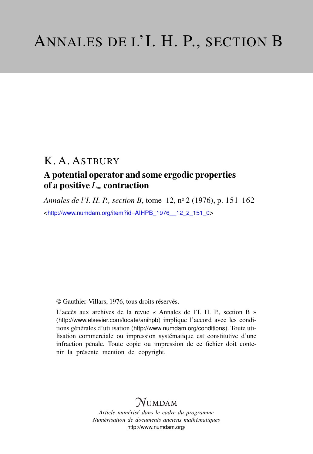## K. A. ASTBURY

## A potential operator and some ergodic properties of a positive *L*<sup>∞</sup> contraction

*Annales de l'I. H. P., section B*, tome 12, n<sup>o</sup> 2 (1976), p. 151-162 <[http://www.numdam.org/item?id=AIHPB\\_1976\\_\\_12\\_2\\_151\\_0](http://www.numdam.org/item?id=AIHPB_1976__12_2_151_0)>

© Gauthier-Villars, 1976, tous droits réservés.

L'accès aux archives de la revue « Annales de l'I. H. P., section B » (<http://www.elsevier.com/locate/anihpb>) implique l'accord avec les conditions générales d'utilisation (<http://www.numdam.org/conditions>). Toute utilisation commerciale ou impression systématique est constitutive d'une infraction pénale. Toute copie ou impression de ce fichier doit contenir la présente mention de copyright.

# $N$ UMDAM

*Article numérisé dans le cadre du programme Numérisation de documents anciens mathématiques* <http://www.numdam.org/>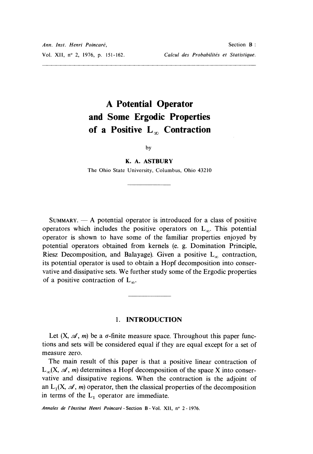# A Potential Operator and Some Ergodic Properties of a Positive  $L_{\infty}$  Contraction

#### $by$

### K. A. ASTBURY

The Ohio State University, Columbus, Ohio 43210

 $SUMMARY. - A potential operator is introduced for a class of positive$ operators which includes the positive operators on  $L_{\infty}$ . This potential operator is shown to have some of the familiar properties enjoyed by potential operators obtained from kernels (e. g. Domination Principle, Riesz Decomposition, and Balayage). Given a positive  $L_{\infty}$  contraction, its potential operator is used to obtain a Hopf decomposition into conservative and dissipative sets. We further study some of the Ergodic properties of a positive contraction of  $L_{\infty}$ .

#### 1. INTRODUCTION

Let  $(X, \mathcal{A}, m)$  be a  $\sigma$ -finite measure space. Throughout this paper functions and sets will be considered equal if they are equal except for a set of measure zero.

The main result of this paper is that a positive linear contraction of  $L_{\infty}(X, \mathcal{A}, m)$  determines a Hopf decomposition of the space X into conservative and dissipative regions. When the contraction is the adjoint of an  $L_1(X, \mathcal{A}, m)$  operator, then the classical properties of the decomposition in terms of the  $L_1$  operator are immediate.

Annales de l'Institut Henri Poincaré - Section B - Vol. XII, nº 2 - 1976.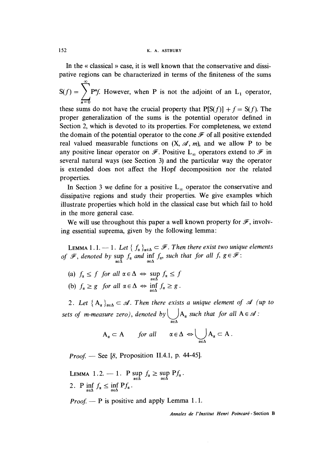In the « classical » case, it is well known that the conservative and dissipative regions can be characterized in terms of the finiteness of the sums

 $S(f) = \sum_{n=1}^{\infty} P^n f$ . However, when P is not the adjoint of an L<sub>1</sub> operator,  $\overline{n=0}$ 

these sums do not have the crucial property that  $P[S(f)] + f = S(f)$ . The proper generalization of the sums is the potential operator defined in Section 2, which is devoted to its properties. For completeness, we extend the domain of the potential operator to the cone  $\mathscr F$  of all positive extended real valued measurable functions on  $(X, \mathcal{A}, m)$ , and we allow P to be any positive linear operator on  $\mathscr F$ . Positive L<sub>∞</sub> operators extend to  $\mathscr F$  in several natural ways (see Section 3) and the particular way the operator is extended does not affect the Hopf decomposition nor the related properties.

In Section 3 we define for a positive  $L_{\infty}$  operator the conservative and dissipative regions and study their properties. We give examples which illustrate properties which hold in the classical case but which fail to hold in the more general case.

We will use throughout this paper a well known property for  $\mathscr{F}$ , involving essential suprema, given by the following lemma:

LEMMA 1.1.  $-$  1. Let  $\{ f_{\alpha} \}_{\alpha \in \Delta} \subset \mathscr{F}$ . Then there exist two unique elements of  $\mathscr{F}$ , denoted by  $\sup_{\alpha\in\Delta} f_{\alpha}$  and  $\inf_{\alpha\in\Delta} f_{\alpha}$ , such that for all  $f, g \in \mathscr{F}$ :

(a)  $f_{\alpha} \leq f$  for all  $\alpha \in \Delta \iff \sup_{\alpha \in \Delta} f_{\alpha} \leq f$ (b)  $f_{\alpha} \ge g$  for all  $\alpha \in \Delta \iff \inf_{\alpha \in \Delta} f_{\alpha} \ge g$ .

2. Let  ${A_a}_{a \in A} \subset A$ . Then there exists a unique element of A (up to sets of m-measure zero), denoted by  $\bigcup_{\alpha\in\Delta} A_{\alpha}$  such that for all A  $\in$ 

$$
A_{\alpha} \subset A \quad \text{for all} \quad \alpha \in \Delta \Leftrightarrow \bigcup_{\alpha \in \Delta} A_{\alpha} \subset A \ .
$$

*Proof.* — See [8, Proposition II.4.1, p. 44-45].

LEMMA 1.2.  $-1$ . P sup  $f_{\alpha} \geq \sup_{\alpha \in \Delta}$ 2. P  $\inf_{\alpha \in \Delta} f_{\alpha} \leq \inf_{\alpha \in \Delta} Pf_{\alpha}$ .

*Proof.*  $-$  P is positive and apply Lemma 1.1.

Annales de 1'Institut Henri Poincaré - Section B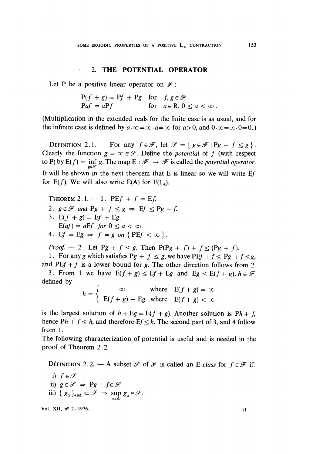### . 2. THE POTENTIAL OPERATOR

Let P be a positive linear operator on  $\mathscr{F}$ :

$$
P(f + g) = Pf + Pg \quad \text{for} \quad f, g \in \mathcal{F}
$$
  
 
$$
Paf = aPf \qquad \text{for} \quad a \in \mathbb{R}, 0 \le a < \infty.
$$

(Multiplication in the extended reals for the finite case is as usual, and for the infinite case is defined by  $a \cdot \infty = \infty \cdot a = \infty$  for  $a > 0$ , and  $0 \cdot \infty = \infty \cdot 0 = 0$ .

DEFINITION 2.1. — For any  $f \in \mathcal{F}$ , let  $\mathcal{S} = \{ g \in \mathcal{F} | P g + f \le g \}$ . Clearly the function  $g = \infty \in \mathcal{S}$ . Define the *potential* of f (with respect to P) by  $E(f) = \inf g$ . The map  $E : \mathcal{F} \to \mathcal{F}$  is called the potential operator. It will be shown in the next theorem that  $E$  is linear so we will write  $Ef$ for  $E(f)$ . We will also write  $E(A)$  for  $E(1_A)$ .

THEOREM 2.1.  $-1$ . PE $f + f = Ef$ . 2.  $g \in \mathcal{F}$  and  $Pg + f \leq g \Rightarrow Ef \leq Pg + f$ . 3.  $E(f + g) = Ef + Eg$ .  $E(af) = aEf$  for  $0 \le a < \infty$ . 4. Ef = Eg  $\Rightarrow$  f = g on {PEf <  $\infty$  }.

*Proof.* - 2. Let Pg +  $f \le g$ . Then P(Pg + f) +  $f \le (Pg + f)$ .

1. For any g which satisfies  $Pg + f \leq g$ , we have  $PEf + f \leq Pg + f \leq g$ , and  $\text{PEf} + f$  is a lower bound for g. The other direction follows from 2.

3. From 1 we have  $E(f + g) \le Ef + Eg$  and  $Eg \le E(f + g)$ .  $h \in \mathcal{F}$ defined by

$$
h = \begin{cases} \infty & \text{where} \quad \mathbf{E}(f+g) = \infty \\ \mathbf{E}(f+g) - \mathbf{E}g & \text{where} \quad \mathbf{E}(f+g) < \infty \end{cases}
$$

is the largest solution of  $h + Eg = E(f + g)$ . Another solution is  $Ph + f$ , hence  $Ph + f \leq h$ , and therefore  $Ef \leq h$ . The second part of 3, and 4 follow from 1.

The following characterization of potential is useful and is needed in the proof of Theorem 2.2.

DEFINITION 2.2. - A subset  $\mathscr S$  of  $\mathscr F$  is called an E-class for  $f \in \mathscr F$  if:

i) 
$$
f \in \mathcal{S}
$$
  
\nii)  $g \in \mathcal{S} \Rightarrow Pg + f \in \mathcal{S}$   
\niii)  $\{ g_{\alpha} \}_{\alpha \in \Delta} \subset \mathcal{S} \Rightarrow \sup_{\alpha \in \Delta} g_{\alpha} \in \mathcal{S}.$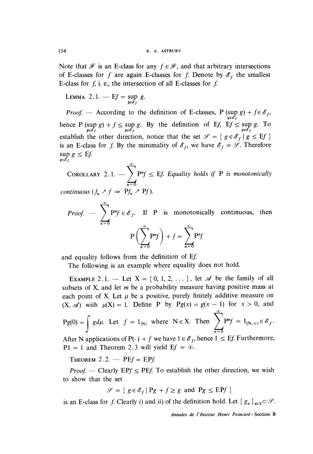Note that  $\mathscr F$  is an E-class for any  $f \in \mathscr F$ , and that arbitrary intersections of E-classes for f are again E-classes for f. Denote by  $\mathscr{E}_f$  the smallest E-class for  $f$ , i. e., the intersection of all E-classes for  $f$ .

LEMMA 2.1. -  $Ef = \sup_{g \in \mathscr{E}_f} g$ .

*Proof.* — According to the definition of E-classes, P (sup  $g$ ) + j hence P (sup g) +  $f \le \sup_{g \in \mathscr{E}_f} g$ . By the definition of Ef, E $f \le \sup_{g \in \mathscr{E}_f} g$ . To establish the other direction, notice that the set  $\mathcal{S} = \{ g \in \mathcal{S}_f | g \leq EJ \}$ is an E-class for f. By the minimality of  $\mathscr{E}_f$ , we have  $\mathscr{E}_f = \mathscr{S}$ . Therefore  $\sup_{g \in \mathscr{E}_f} g \leq Ef.$ 

COROLLARY 2.1.  $-\sum_{i=1}^{\infty} P^{n}f \leq Ef$ . Equality holds if P is monotonically  $n=0$ continuous  $(f_n \nearrow f \Rightarrow Pf_n \nearrow Pf)$ .

*Proof.*  $-\sum_{i=1}^{\infty} P^{n}f \in \mathscr{E}_f$ . If P is monotonically continuous, then  $\label{eq:3.1} \mathbf{P}\biggl(\sum^{\infty}\mathbf{P}^{n}f\biggr)+f=\sum^{\infty}\mathbf{P}^{n}f$ 

and equality follows from the definition of Ef

The following is an example where equality does not hold.

EXAMPLE 2.1. - Let  $X = \{0, 1, 2, \dots\}$ , let  $\mathscr A$  be the family of all subsets of X, and let  $m$  be a probability measure having positive mass at each point of X. Let  $\mu$  be a positive, purely finitely additive measure on  $(X, \mathcal{A})$  with  $\mu(X) = 1$ . Define P by  $Pg(x) = g(x - 1)$  for  $x > 0$ , and  $Pg(0) = \int g d\mu$ . Let  $f = 1_{\{N\}}$  where  $N \in X$ . Then  $\sum_{i=1}^{\infty} P^n f = 1_{\{N, \infty\}} \in \mathscr{E}_f$ .

After N applications of  $P(\cdot) + f$  we have  $1 \in \mathcal{E}_f$ , hence  $1 \leq Ef$ . Furthermore,  $P1 = 1$  and Theorem 2.3 will yield  $Ef = \infty$ .

THEOREM 2.2.  $-$  PE $f =$  EP $f$ .

*Proof.* — Clearly EPf  $\leq$  PEf. To establish the other direction, we wish to show that the set

$$
\mathcal{S} = \{ g \in \mathcal{E}_f \mid Pg + f \ge g \text{ and } Pg \le EPf \}
$$

is an E-class for f. Clearly i) and ii) of the definition hold. Let  $\{g_{\alpha}\}_{{\alpha}\in\Delta}\subset\mathscr{S}$ .

Annales de 1'Institut Henri Poincaré - Section B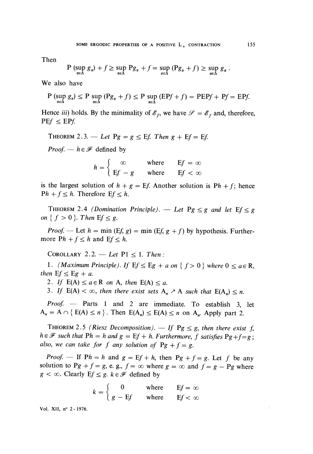Then

$$
P(\sup_{\alpha\in\Delta} g_{\alpha})+f\geq \sup_{\alpha\in\Delta} P g_{\alpha}+f=\sup_{\alpha\in\Delta} (P g_{\alpha}+f)\geq \sup_{\alpha\in\Delta} g_{\alpha}.
$$

We also have

$$
P\left(\sup_{\alpha\in\Delta}g_{\alpha}\right)\leq P\sup_{\alpha\in\Delta}\left(Pg_{\alpha}+f\right)\leq P\sup_{\alpha\in\Delta}\left(EPf+f\right)=PEPf+Pf=EPf.
$$

Hence iii) holds. By the minimality of  $\mathscr{E}_f$ , we have  $\mathscr{S} = \mathscr{E}_f$  and, therefore,  $PEf \leq EPf$ .

THEOREM 2.3. — Let  $Pg = g \leq Ef$ . Then  $g + Ef = Ef$ .

*Proof.* —  $h \in \mathcal{F}$  defined by

$$
h = \begin{cases} \infty & \text{where} \quad \text{E}f = \infty \\ \text{E}f - g & \text{where} \quad \text{E}f < \infty \end{cases}
$$

is the largest solution of  $h + g = Ef$ . Another solution is  $Ph + f$ ; hence  $Ph + f \leq h$ . Therefore  $Ef \leq h$ .

THEOREM 2.4 (Domination Principle). — Let  $Pg \leq g$  and let  $Ef \leq g$ on  $\{f > 0\}$ . Then  $Ef \leq g$ .

*Proof.* — Let  $h = \min$  (Ef, g) =  $\min$  (Ef, g + f) by hypothesis. Furthermore  $Ph + f \leq h$  and  $Ef \leq h$ .

COROLLARY 2.2. - Let  $P1 \le 1$ . Then:

1. (Maximum Principle). If  $E f \le Eg + a$  on  $\{f > 0\}$  where  $0 \le a \in \mathbb{R}$ , then  $Ef \le Eg + a$ .

2. If  $E(A) \le a \in R$  on A, then  $E(A) \le a$ .

3. If  $E(A) < \infty$ , then there exist sets  $A_n \nearrow A$  such that  $E(A_n) \leq n$ .

Proof. - Parts 1 and 2 are immediate. To establish 3, let  $A_n = A \cap \{ E(A) \le n \}$ . Then  $E(A_n) \le E(A) \le n$  on  $A_n$ . Apply part 2.

THEOREM 2.5 (Riesz Decomposition).  $-$  If Pg  $\leq$  g, then there exist f,  $h \in \mathcal{F}$  such that  $Ph = h$  and  $g = Ef + h$ . Furthermore, f satisfies  $Pg+f = g$ ; also, we can take for f any solution of  $Pg + f = g$ .

*Proof.* - If  $Ph = h$  and  $g = Ef + h$ , then  $Pg + f = g$ . Let f be any solution to Pg + f = g, e. g., f =  $\infty$  where g =  $\infty$  and f = g - Pg where  $g < \infty$ . Clearly E $f \leq g$ .  $k \in \mathcal{F}$  defined by

$$
k = \begin{cases} 0 & \text{where} & \text{E}f = \infty \\ g - \text{E}f & \text{where} & \text{E}f < \infty \end{cases}
$$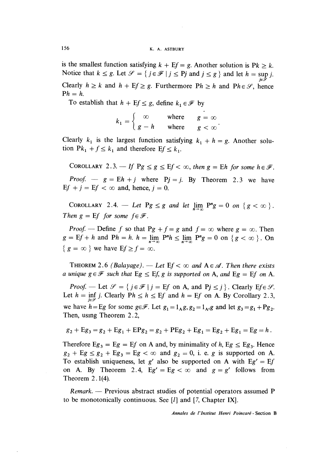is the smallest function satisfying  $k + Ef = g$ . Another solution is  $Pk \geq k$ . Notice that  $k \leq g$ . Let  $\mathcal{S} = \{ j \in \mathcal{F} \mid j \leq Pj \text{ and } j \leq g \}$  and let  $h = \sup j$ . Clearly  $h \ge k$  and  $h + Ef \ge g$ . Furthermore  $Ph \ge h$  and  $Ph \in \mathscr{S}$ , hence  $Ph = h$ .

To establish that  $h + Ef \leq g$ , define  $k_1 \in \mathcal{F}$  by

$$
k_1 = \begin{cases} \infty & \text{where} \quad g = \infty \\ g - h & \text{where} \quad g < \infty \end{cases}.
$$

Clearly  $k_1$  is the largest function satisfying  $k_1 + h = g$ . Another solution  $Pk_1 + f \leq k_1$  and therefore  $Ef \leq k_1$ .

COROLLARY 2.3.  $-$  If Pg  $\leq$  g  $\leq$  Ef  $<$   $\infty$ , then g = Eh for some  $h \in \mathcal{F}$ . *Proof.*  $g = Eh + j$  where Pj = j. By Theorem 2.3 we have Ef + j = Ef <  $\infty$  and, hence, j = 0.

COROLLARY 2.4. — Let  $Pg \leq g$  and let  $\lim_{n \to \infty} P^n g = 0$  on  $\{g < \infty\}$ . Then  $g = Ef$  for some  $f \in \mathcal{F}$ .

*Proof.* — Define f so that Pg + f = g and  $f = \infty$  where  $g = \infty$ . Then  $g = Ef + h$  and  $Ph = h$ .  $h = \lim_{n \to \infty} P^n h \le \lim_{n \to \infty} P^n g = 0$  on  $\{g < \infty\}$ . On  ${ g = \infty }$  we have  $Ef \ge f = \infty$ .

THEOREM 2.6 (Balayage). — Let  $Ef < \infty$  and  $A \in \mathcal{A}$ . Then there exists a unique  $g \in \mathcal{F}$  such that  $Eg \leq Ef$ , g is supported on A, and  $Eg = Ef$  on A.

*Proof.* - Let  $\mathcal{S} = \{ j \in \mathcal{F} \mid j = Ef \text{ on } A, \text{ and } Pj \leq j \}.$  Clearly  $Ef \in \mathcal{S}$ . Let  $h = \inf_{j \in \mathcal{S}} j$ . Clearly  $Ph \le h \le Ef$  and  $h = Ef$  on A. By Corollary 2.3, we have  $h = Eg$  for some  $g \in \mathcal{F}$ . Let  $g_1 = 1_A g$ ,  $g_2 = 1_A g$  and let  $g_3 = g_1 + Pg_2$ . Then, using Theorem 2.2,

$$
g_2 + Eg_3 = g_2 + Eg_1 + EPg_2 = g_2 + PEg_2 + Eg_1 = Eg_2 + Eg_1 = Eg = h.
$$

Therefore Eg<sub>3</sub> = Eg = Ef on A and, by minimality of h, Eg  $\le$  Eg<sub>3</sub>. Hence  $g_2 + Eg \leq g_2 + Eg_3 = Eg < \infty$  and  $g_2 = 0$ , i. e. g is supported on A. To establish uniqueness, let g' also be supported on A with Eg' = Ef on A. By Theorem 2.4, Eg' = Eg  $< \infty$  and  $g = g'$  follows from Theorem 2.1(4).

 $Remark.$  Previous abstract studies of potential operators assumed P to be monotonically continuous. See [I] and [7, Chapter IX].

Annales de 1'Institut Henri Poincaré - Section B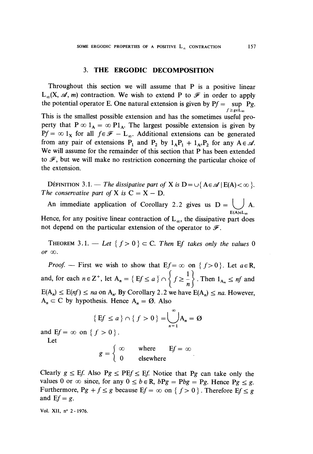### 3. THE ERGODIC DECOMPOSITION

Throughout this section we will assume that P is a positive linear  $L_{\infty}(X, \mathcal{A}, m)$  contraction. We wish to extend P to  $\mathcal{F}$  in order to apply the potential operator E. One natural extension is given by  $Pf = \sup_{f \ge g \in L_{\infty}} Pg$ . This is the smallest possible extension and has the sometimes useful property that  $P \infty 1_A = \infty P1_A$ . The largest possible extension is given by  $Pf = \infty 1_X$  for all  $f \in \mathcal{F} - L_{\infty}$ . Additional extensions can be generated from any pair of extensions P<sub>1</sub> and P<sub>2</sub> by  $1_AP_1 + 1_AP_2$  for any A  $\in \mathcal{A}$ . We will assume for the remainder of this section that P has been extended to  $\mathscr F$ , but we will make no restriction concerning the particular choice of the extension.

DÉFINITION 3.1. — The dissipative part of X is  $D = \bigcup \{A \in \mathcal{A} \mid E(A) < \infty \}$ . The conservative part of X is  $C = X - D$ .

An immediate application of Corollary 2.2 gives us  $D = \bigcup_{E(A) \in L_{\infty}} A$ .

Hence, for any positive linear contraction of  $L_{\infty}$ , the dissipative part does not depend on the particular extension of the operator to  $\mathscr{F}$ .

THEOREM 3.1. — Let  ${f > 0} \subset C$ . Then Ef takes only the values 0 or  $\infty$ .

*Proof.* – First we wish to show that  $Ef = \infty$  on  $\{f > 0\}$ . Let  $a \in R$ , and, for each  $n \in \mathbb{Z}^+$ , let  $A_n = \{Ef \le a\} \cap \{f \ge \frac{1}{n}\}$ . Then  $1_{A_n} \le nf$  and  $E(A_n) \le E(nf) \le na$  on  $A_n$ . By Corollary 2.2 we have  $E(A_n) \le na$ . However,  $A_n \subset C$  by hypothesis. Hence  $A_n = \emptyset$ . Also

$$
\{Ef \le a\} \cap \{f > 0\} = \bigcup_{n=1}^{\infty} A_n = \emptyset
$$

and  $Ef = \infty$  on  $\{f > 0\}$ .

Let

$$
g = \begin{cases} \infty & \text{where} \quad \text{E}f = \infty \\ 0 & \text{elsewhere} \end{cases}.
$$

Clearly  $g \leq Ef$ . Also  $Pg \leq PEf \leq Ef$ . Notice that Pg can take only the values 0 or  $\infty$  since, for any  $0 \le b \in \mathbb{R}$ ,  $bPg = Pbg = Pg$ . Hence  $Pg \le g$ . Furthermore,  $Pg + f \leq g$  because  $Ef = \infty$  on  $\{f > 0\}$ . Therefore  $Ef \leq g$ and  $Ef = g$ .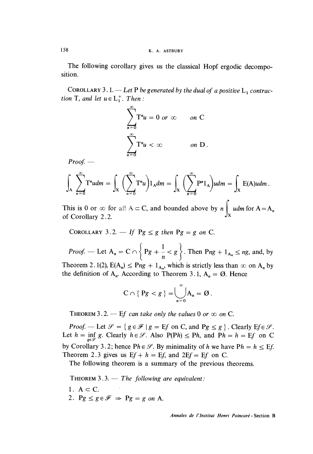158 K. A. ASTBURY

The following corollary gives us the classical Hopf ergodic decomposition.

COROLLARY 3.1. — Let P be generated by the dual of a positive  $L_1$  contraction T, and let  $u \in L_1^+$ . Then:

$$
\sum_{n=0}^{\infty} T^n u = 0 \text{ or } \infty \quad \text{on } C
$$

$$
\sum_{n=0}^{\infty} T^n u < \infty \quad \text{on } D.
$$

 $Proof.$  —

$$
\int_{A} \sum_{n=0}^{\infty} T^{n} u dm = \int_{X} \left( \sum_{n=0}^{\infty} T^{n} u \right) 1_{A} dm = \int_{X} \left( \sum_{n=0}^{\infty} P^{n} 1_{A} \right) u dm = \int_{X} E(A) u dm.
$$

This is 0 or  $\infty$  for all A  $\subset$  C, and bounded above by n  $\int_{x} u dm$  for A = A<sub>n</sub> of Corollary 2.2.

COROLLARY 3.2. — If 
$$
Pg \leq g
$$
 then  $Pg = g$  on C.

*Proof.* — Let  $A_n = C \cap \left\{ Pg + \frac{1}{n} < g \right\}$ . Then  $Png + 1_{A_n} \le ng$ , and, by Theorem 2.1(2),  $E(A_n) \leq Png + 1_{A_n}$ , which is strictly less than  $\infty$  on  $A_n$  by the definition of  $A_n$ . According to Theorem 3.1,  $A_n = \emptyset$ . Hence

$$
C \cap \{ \, Pg < g \, \} = \bigcup_{n=0}^{\infty} A_n = \varnothing \, .
$$

THEOREM 3.2.  $-$  Ef can take only the values 0 or  $\infty$  on C.

*Proof.* — Let  $\mathcal{S} = \{ g \in \mathcal{F} \mid g = Ef \text{ on } C \text{, and } Pg \le g \}.$  Clearly  $Ef \in \mathcal{S}$ . Let  $h = \inf_{n \in \mathcal{S}} g$ . Clearly  $h \in \mathcal{S}$ . Also P(Ph)  $\leq$  Ph, and Ph = h = Ef on C by Corollary 3.2; hence  $Ph \in \mathcal{S}$ . By minimality of h we have  $Ph = h \leq Ef$ . Theorem 2.3 gives us  $Ef + h = Ef$ , and  $2Ef = Ef$  on C.

The following theorem is a summary of the previous theorems.

THEOREM  $3.3 - The following are equivalent:$ 

- 1.  $A \subset C$ .
- 2.  $Pg \leq g \in \mathcal{F} \Rightarrow Pg = g \text{ on } A$ .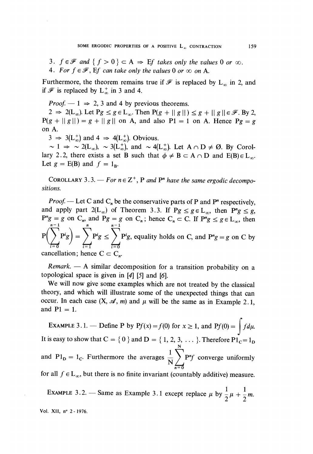3.  $f \in \mathcal{F}$  and  $\{f > 0\} \subset A \Rightarrow Ef$  takes only the values 0 or  $\infty$ . 4. For  $f \in \mathcal{F}$ , Ef can take only the values 0 or  $\infty$  on A.

Furthermore, the theorem remains true if  $\mathscr F$  is replaced by  $L_{\infty}$  in 2, and if  $\mathscr F$  is replaced by  $L_{\infty}^+$  in 3 and 4.

*Proof.*  $-1 \Rightarrow 2, 3$  and 4 by previous theorems.

 $2 \Rightarrow 2(L_{\infty})$ . Let  $Pg \leq g \in L_{\infty}$ . Then  $P(g + || g ||) \leq g + || g || \in \mathcal{F}$ . By 2,  $P(g + ||g||) = g + ||g||$  on A, and also P1 = 1 on A. Hence Pg = g on A.

 $3 \Rightarrow 3(L_{\infty}^{+})$  and  $4 \Rightarrow 4(L_{\infty}^{+})$ . Obvious.

 $\sim 1 \Rightarrow \sim 2(L_{\infty}), \sim 3(L_{\infty}^+), \text{ and } \sim 4(L_{\infty}^+).$  Let  $A \cap D \neq \emptyset$ . By Corollary 2.2, there exists a set B such that  $\phi \neq B \subset A \cap D$  and  $E(B) \in L_{\infty}$ . Let  $g = E(B)$  and  $f = 1_B$ .

COROLLARY 3.3. — For  $n \in \mathbb{Z}^+$ , P and P<sup>n</sup> have the same ergodic decompositions.

*Proof.* — Let C and  $C_n$  be the conservative parts of P and P<sup>n</sup> respectively, and apply part  $2(L_{\infty})$  of Theorem 3.3. If  $Pg \le g \in L_{\infty}$ , then  $P^ng \le g$ ,  $P^ng = g$  on  $C_n$ , and  $Pg = g$  on  $C_n$ ; hence  $C_n \subset C$ . If  $P^ng \leq g \in L_\infty$ , then  $P\left(\sum_{i} P^{i}g\right) = \sum_{i} P^{i}g \leq \sum_{i} P^{i}g$ , equality holds on C, and  $P^{n}g = g$  on C by cancellation; hence  $C \subset C_n$ .

 $Remark. - A similar decomposition for a transition probability on a$ topological space is given in  $[4]$   $[5]$  and  $[6]$ .

We will now give some examples which are not treated by the classical theory, and which will illustrate some of the unexpected things that can occur. In each case  $(X, \mathcal{A}, m)$  and  $\mu$  will be the same as in Example 2.1, and  $P1 = 1$ .

EXAMPLE 3.1. — Define P by  $Pf(x) = f(0)$  for  $x \ge 1$ , and  $Pf(0) = \int f d\mu$ . It is easy to show that  $C = \{0\}$  and  $D = \{1, 2, 3, \dots\}$ . Therefore  $P1_C = 1_D$ and  $P1_D = 1_C$ . Furthermore the averages  $\frac{1}{N} \sum_{n=1}^{N} P^n f$  converge uniformly for all  $f \in L_{\infty}$ , but there is no finite invariant (countably additive) measure.

EXAMPLE 3.2. – Same as Example 3.1 except replace  $\mu$  by  $\frac{1}{2}\mu + \frac{1}{2}m$ .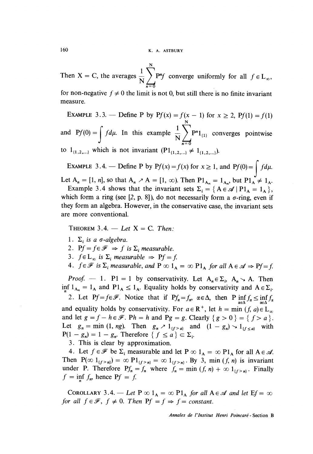N Then X = C, the averages  $\frac{1}{N} \sum_{n=0}^{N} P^{n}f$  converge uniformly for all

for non-negative  $f \neq 0$  the limit is not 0, but still there is no finite invariant measure.

EXAMPLE 3.3. - Define P by  $Pf(x) = f(x - 1)$  for  $x \ge 2$ ,  $Pf(1) = f(1)$ and  $Pf(0) = \int f d\mu$ . In this example  $\overline{N} \sum_{n=0}^{n} P^{n}1_{\{1\}}$  converges pointwise to  $1_{\{1,2,...\}}$  which is not invariant  $(P1_{\{1,2,...\}} \neq 1_{\{1,2,...\}}).$ 

EXAMPLE 3.4. — Define P by  $Pf(x) = f(x)$  for  $x \ge 1$ , and  $Pf(0) = \int f d\mu$ .

Let  $A_n = [1, n]$ , so that  $A_n \nearrow A = [1, \infty)$ . Then  $P1_{A_n} = 1_{A_n}$ , but  $P1_A \neq 1_A$ .

Example 3.4 shows that the invariant sets  $\Sigma_i = \{ A \in \mathcal{A} \mid P1_A = 1_A \},\$ which form a ring (see [2, p. 8]), do not necessarily form a  $\sigma$ -ring, even if they form an algebra. However, in the conservative case, the invariant sets are more conventional.

THEOREM 3.4. - Let  $X = C$ . Then:

- 1.  $\Sigma_i$  is a  $\sigma$ -algebra.
- 2. Pf =  $f \in \mathcal{F}$   $\Rightarrow$  f is  $\Sigma$ ; measurable.
- 3.  $f \in L_{\infty}$  is  $\Sigma_i$  measurable  $\Rightarrow$  Pf = f.

4.  $f \in \mathcal{F}$  is  $\Sigma$ , measurable, and  $P \in \mathcal{D}$   $1_A = \infty$   $P1_A$  for all  $A \in \mathcal{A} \Rightarrow Pf = f$ .

*Proof.* - 1. P1 = 1 by conservativity. Let  $A_n \in \Sigma_i$ ,  $A_n \setminus A$ . Then inf  $1_{A_n} = 1_A$  and  $PI_A \le 1_A$ . Equality holds by conservativity and  $A \in \Sigma_i$ .

2. Let Pf =  $f \in \mathcal{F}$ . Notice that if Pf<sub>a</sub> =  $f_{\alpha}$ ,  $\alpha \in \Delta$ , then P  $\inf_{\alpha \in \Delta} f_{\alpha} \le \inf_{\alpha \in \Delta} f_{\alpha}$ and equality holds by conservativity. For  $a \in \mathbb{R}^+$ , let  $h = \min (f, a) \in L_\infty$ and let  $g = f - h \in \mathcal{F}$ . Ph = h and Pg = g. Clearly  $\{g > 0\} = \{f > a\}.$ Let  $g_n = \min(1, ng)$ . Then  $g_n \geq 1_{\{f > a\}}$  and  $(1 - g_n) \geq 1_{\{f \leq a\}}$  with  $P(1 - g_n) = 1 - g_n$ . Therefore  $\{ f \le a \} \subset \Sigma_i$ .

3. This is clear by approximation.

4. Let  $f \in \mathscr{F}$  be  $\Sigma_i$  measurable and let  $P \in \mathcal{A}$ ,  $\Delta = \infty$   $P1_A$  for all  $A \in \mathscr{A}$ . Then  $P(\infty 1_{\{f>n\}}) = \infty P1_{\{f>n\}} = \infty 1_{\{f>n\}}$ . By 3, min  $(f, n)$  is invariant under P. Therefore  $Pf_n = f_n$  where  $f_n = \min (f, n) + \infty 1_{\{f > n\}}$ . Finally  $f = \inf f_m$ , hence  $Pf = f$ .

COROLLARY 3.4. - Let  $P \infty 1_A = \infty P1_A$  for all  $A \in \mathcal{A}$  and let  $Ef = \infty$ for all  $f \in \mathcal{F}$ ,  $f \neq 0$ . Then  $Pf = f \Rightarrow f = constant$ .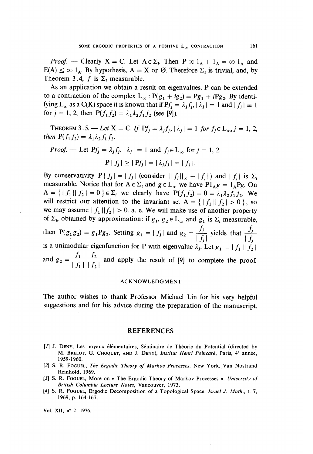*Proof.* - Clearly X = C. Let  $A \in \Sigma_i$ . Then  $P \infty 1_A + 1_A = \infty 1_A$  and  $E(A) \leq \infty$  1<sub>A</sub>. By hypothesis, A = X or Ø. Therefore  $\Sigma_i$  is trivial, and, by Theorem 3.4, f is  $\Sigma$ , measurable.

As an application we obtain a result on eigenvalues. P can be extended to a contraction of the complex  $L_{\infty}$ :  $P(g_1 + ig_2) = Pg_1 + iPg_2$ . By identifying L<sub>∞</sub> as a C(K) space it is known that if Pf<sub>i</sub> =  $\lambda_i f_i$ ,  $|\lambda_i| = 1$  and  $|f_i| \equiv 1$ for  $j = 1, 2$ , then  $P(f_1 f_2) = \lambda_1 \lambda_2 f_1 f_2$  (see [9]).

THEOREM 3.5. -- Let X = C. If  $Pf_i = \lambda_i f_i$ ,  $|\lambda_i| = 1$  for  $f_i \in L_{\infty}$ ,  $j = 1, 2$ , then  $P(f_1 f_2) = \lambda_1 \lambda_2 f_1 f_2$ .

*Proof.* — Let 
$$
Pf_j = \lambda_j f_j
$$
,  $|\lambda_j| = 1$  and  $f_j \in L_\infty$  for  $j = 1, 2$ .  

$$
P | f_j | \ge |Pf_j| = |\lambda_j f_j| = |f_j|.
$$

By conservativity  $P | f_i | = |f_i|$  (consider  $|| f_i ||_{\infty} - |f_i|$ ) and  $|| f_i ||$  is  $\Sigma_i$ measurable. Notice that for  $A \in \Sigma_i$  and  $g \in L_{\infty}$  we have  $P1_Ag = 1_APg$ . On  $A = \{ | f_1 || f_2 | = 0 \} \in \Sigma_i$  we clearly have  $P(f_1 f_2) = 0 = \lambda_1 \lambda_2 f_1 f_2$ . We will restrict our attention to the invariant set  $A = \{ |f_1||f_2| > 0 \}$ , so we may assume  $|f_1||f_2|> 0$ . a. e. We will make use of another property of  $\Sigma_i$ , obtained by approximation: if  $g_1, g_2 \in L_{\infty}$  and  $g_1$  is  $\Sigma_i$  measurable, then P(g<sub>1</sub>g<sub>2</sub>) = g<sub>1</sub>P<sub>g<sub>2</sub>. Setting g<sub>1</sub> = | f<sub>j</sub>| and g<sub>2</sub> =  $\frac{f_j}{|f_i|}$  yields that  $\frac{f_j}{|f_j|}$ </sub>  $|J_j|$   $|J_j|$ is a unimodular eigenfunction for P with eigenvalue  $\lambda_j$ . Let  $g_1 = |f_1| |f_2|$ and  $g_2 = \frac{f_1}{|f_1|} \frac{f_2}{|f_2|}$  and apply the result of [9] to complete the proof.

#### ACKNOWLEDGMENT

The author wishes to thank Professor Michael Lin for his very helpful suggestions and for his advice during the preparation of the manuscript.

#### REFERENCES

- [1] J. DENY, Les noyaux élémentaires, Séminaire de Théorie du Potential (directed by M. BRELOT, G. CHOQUET, AND J. DENY), Institut Henri Poincaré, Paris, 4e année, 1959-1960.
- [2] S. R. FOGUEL, The Ergodic Theory of Markov Processes. New York, Van Nostrand Reinhold, 1969.
- [3] S. R. FOGUEL, More on « The Ergodic Theory of Markov Processes ». University of British Columbia Lecture Notes, Vancouver, 1973.
- [4] S. R. FOGUEL, Ergodic Decomposition of a Topological Space. Israel J. Math., t. 7, 1969, p. 164-167.